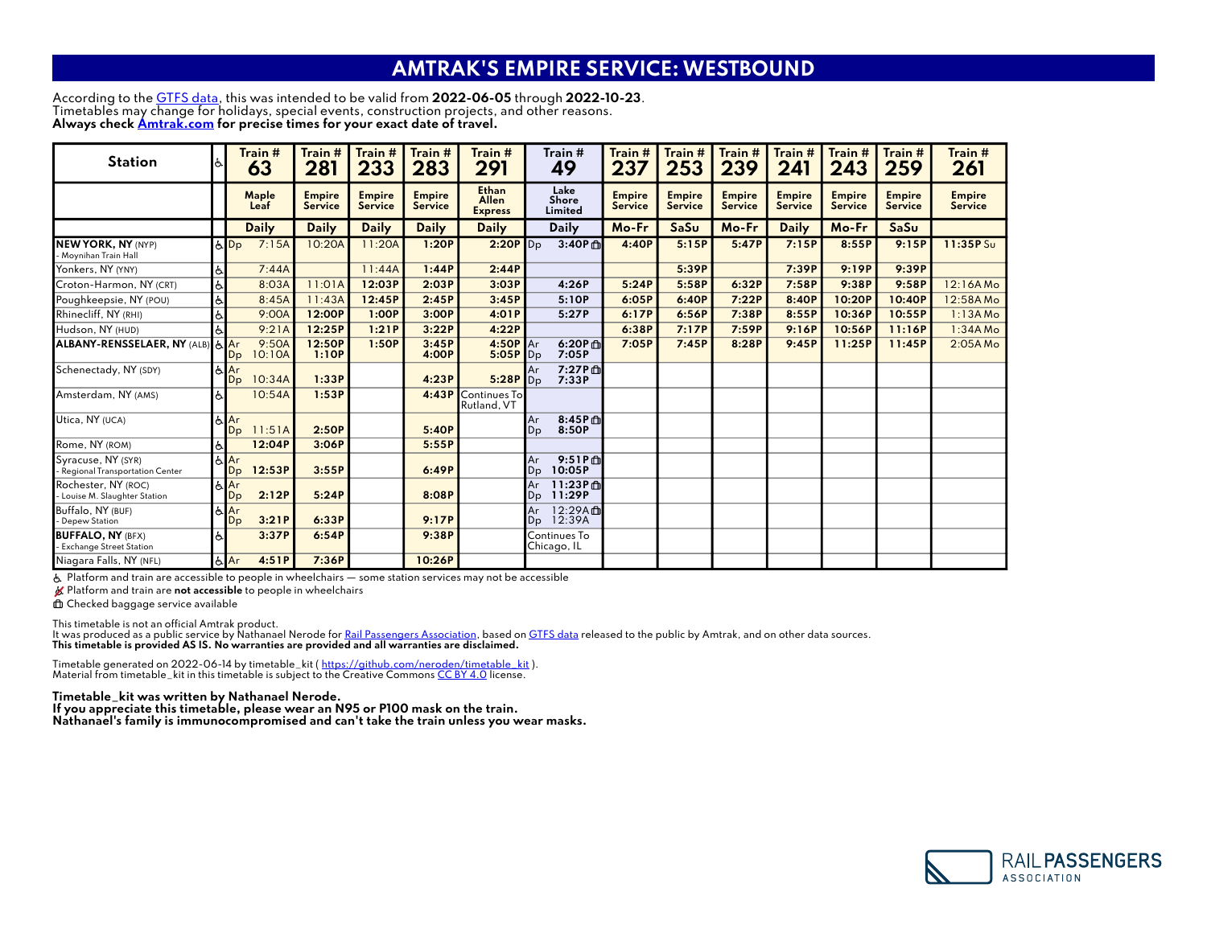## AMTRAK'S EMPIRE SERVICE: WESTBOUND

According to the <u>[GTFS data](https://www.transit.land/feeds/f-9-amtrak~amtrakcalifornia~amtrakcharteredvehicle)</u>, this was intended to be valid from **2022-06-05** through **2022-10-23**. Timetables may change for holidays, special events, construction projects, and other reasons. Always check <u>Amtrak.com</u> for precise times for your exact date of travel.

| <b>Station</b>                                             |    | Train #<br>63                    | Train #<br>281           | Train #<br>233                  | Train #<br>283           | Train #<br>291                                 | Train #<br>49            |                     | Train #<br>237           | Train #<br>253                  | Train #<br>239           | Train #<br>241           | Train #<br>243           | Train #<br>259                  | Train #<br>261           |
|------------------------------------------------------------|----|----------------------------------|--------------------------|---------------------------------|--------------------------|------------------------------------------------|--------------------------|---------------------|--------------------------|---------------------------------|--------------------------|--------------------------|--------------------------|---------------------------------|--------------------------|
|                                                            |    | Maple<br>Leaf                    | <b>Empire</b><br>Service | <b>Empire</b><br><b>Service</b> | <b>Empire</b><br>Service | <b>Ethan</b><br><b>Allen</b><br><b>Express</b> | Lake<br>Shore<br>Limited |                     | <b>Empire</b><br>Service | <b>Empire</b><br><b>Service</b> | <b>Empire</b><br>Service | <b>Empire</b><br>Service | <b>Empire</b><br>Service | <b>Empire</b><br><b>Service</b> | <b>Empire</b><br>Service |
|                                                            |    | <b>Daily</b>                     | <b>Daily</b>             | <b>Daily</b>                    | <b>Daily</b>             | <b>Daily</b>                                   | <b>Daily</b>             |                     | Mo-Fr                    | SaSu                            | Mo-Fr                    | <b>Daily</b>             | Mo-Fr                    | SaSu                            |                          |
| <b>NEW YORK, NY (NYP)</b><br>Moynihan Train Hall           |    | 7:15A<br>$b$ Dp                  | 10:20A                   | 11:20A                          | 1:20P                    | $2:20P$ $Dp$                                   |                          | 3:40P d             | 4:40P                    | 5:15P                           | 5:47P                    | 7:15P                    | 8:55P                    | 9:15P                           | 11:35P Su                |
| Yonkers, NY (YNY)                                          | ত  | 7:44A                            |                          | 11:44A                          | 1:44P                    | 2:44P                                          |                          |                     |                          | 5:39P                           |                          | 7:39P                    | 9:19P                    | 9:39P                           |                          |
| Croton-Harmon, NY (CRT)                                    | Ġ. | 8:03A                            | 11:01A                   | 12:03P                          | 2:03P                    | 3:03P                                          |                          | 4:26P               | 5:24P                    | 5:58P                           | 6:32P                    | 7:58P                    | 9:38P                    | 9:58P                           | 12:16AMo                 |
| Poughkeepsie, NY (POU)                                     | 占  | 8:45A                            | 11:43A                   | 12:45P                          | 2:45P                    | 3:45P                                          |                          | 5:10P               | 6:05P                    | 6:40P                           | 7:22P                    | 8:40P                    | 10:20P                   | 10:40P                          | 12:58AMo                 |
| Rhinecliff, NY (RHI)                                       | Õ. | 9:00A                            | 12:00P                   | 1:00P                           | 3:00P                    | 4:01P                                          |                          | 5:27P               | 6:17P                    | 6:56P                           | 7:38P                    | 8:55P                    | 10:36P                   | 10:55P                          | $1:13A$ Mo               |
| Hudson, NY (HUD)                                           |    | 9:21A                            | 12:25P                   | 1:21P                           | 3:22P                    | 4:22P                                          |                          |                     | 6:38P                    | 7:17P                           | 7:59P                    | 9:16P                    | 10:56P                   | 11:16P                          | $1:34A$ Mo               |
| ALBANY-RENSSELAER, NY (ALB) & Ar                           |    | 9:50A<br>10:10A<br>Dp            | 12:50P<br>1:10P          | 1:50P                           | 3:45P<br>4:00P           | 4:50P<br>$5:05P$ $Dp$                          | Ar                       | 6:20P th<br>7:05P   | 7:05P                    | 7:45P                           | 8:28P                    | 9:45P                    | 11:25P                   | 11:45P                          | $2:05A$ Mo               |
| Schenectady, NY (SDY)                                      |    | A R<br>10:34A<br>Dp              | 1:33P                    |                                 | 4:23P                    | $5:28P$ $Dp$                                   | Ar                       | 7:27P 血<br>7:33P    |                          |                                 |                          |                          |                          |                                 |                          |
| Amsterdam, NY (AMS)                                        |    | 10:54A                           | 1:53P                    |                                 | 4:43P                    | Continues To<br>Rutland, VT                    |                          |                     |                          |                                 |                          |                          |                          |                                 |                          |
| Utica, NY (UCA)                                            |    | & Ar<br>11:51A<br>D <sub>p</sub> | 2:50P                    |                                 | 5:40P                    |                                                | Ar<br>Dp                 | $8:45P$ m<br>8:50P  |                          |                                 |                          |                          |                          |                                 |                          |
| Rome, NY (ROM)                                             | ত- | 12:04P                           | 3:06P                    |                                 | 5:55P                    |                                                |                          |                     |                          |                                 |                          |                          |                          |                                 |                          |
| Svracuse. NY (SYR)<br>Regional Transportation Center       |    | $A$ Ar<br>12:53P<br>Dp           | 3:55P                    |                                 | 6:49P                    |                                                | Ar<br>Dp                 | $9:51P$ m<br>10:05P |                          |                                 |                          |                          |                          |                                 |                          |
| Rochester, NY (ROC)<br>Louise M. Slaughter Station         |    | $\mathbf{A}$ Ar<br>2:12P<br>Dp   | 5:24P                    |                                 | 8:08P                    |                                                | Ar<br>Dp                 | 11:23P血<br>11:29P   |                          |                                 |                          |                          |                          |                                 |                          |
| Buffalo, NY (BUF)<br>Depew Station                         |    | A<br>3:21P<br>Dp                 | 6:33P                    |                                 | 9:17P                    |                                                | Ar<br>Dp                 | 12:29A曲<br>12:39A   |                          |                                 |                          |                          |                          |                                 |                          |
| <b>BUFFALO, NY (BFX)</b><br><b>Exchange Street Station</b> |    | 3:37P                            | 6:54P                    |                                 | 9:38P                    |                                                | Chicago, IL              | Continues To        |                          |                                 |                          |                          |                          |                                 |                          |
| Niagara Falls, NY (NFL)                                    |    | 4:51P<br>& Ar                    | 7:36P                    |                                 | 10:26P                   |                                                |                          |                     |                          |                                 |                          |                          |                          |                                 |                          |

Platform and train are accessible to people in wheelchairs — some station services may not be accessible

K Platform and train are not accessible to people in wheelchairs

Checked baggage service available

This timetable is not an official Amtrak product.<br>It was produced as a public service by Nathanael Nerode for <u>Rail Passengers Association,</u> based on <u>GTFS data</u> released to the public by Amtrak, and on other data sources.

Timetable generated on 2022-06-14 by timetable\_kit ( <u>[https://github.com/neroden/timetable\\_kit](https://github.com/neroden/timetable_kit)</u> ).<br>Material from timetable\_kit in this timetable is subject to the Creative Commons <u>CC BY 4.0</u> license.

## Timetable\_kit was written by Nathanael Nerode.

If you appreciate this timetable, please wear an N95 or P100 mask on the train. Nathanael's family is immunocompromised and can't take the train unless you wear masks.